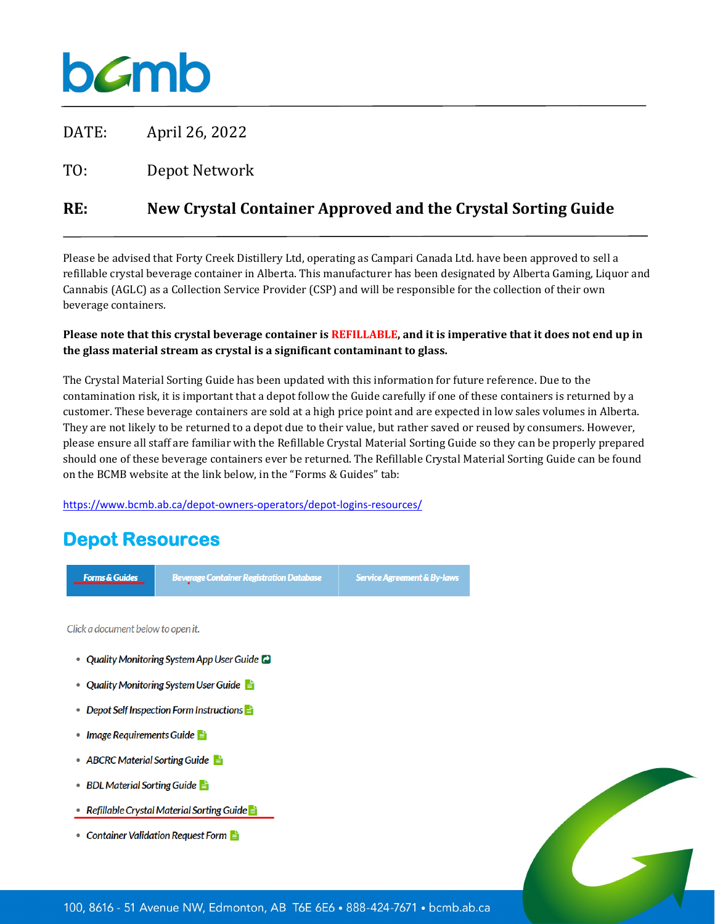# **b***c*mb

DATE: April 26, 2022

TO: Depot Network

### **RE: New Crystal Container Approved and the Crystal Sorting Guide**

Please be advised that Forty Creek Distillery Ltd, operating as Campari Canada Ltd. have been approved to sell a refillable crystal beverage container in Alberta. This manufacturer has been designated by Alberta Gaming, Liquor and Cannabis (AGLC) as a Collection Service Provider (CSP) and will be responsible for the collection of their own beverage containers.

#### **Please note that this crystal beverage container is REFILLABLE, and it is imperative that it does not end up in the glass material stream as crystal is a significant contaminant to glass.**

The Crystal Material Sorting Guide has been updated with this information for future reference. Due to the contamination risk, it is important that a depot follow the Guide carefully if one of these containers is returned by a customer. These beverage containers are sold at a high price point and are expected in low sales volumes in Alberta. They are not likely to be returned to a depot due to their value, but rather saved or reused by consumers. However, please ensure all staff are familiar with the Refillable Crystal Material Sorting Guide so they can be properly prepared should one of these beverage containers ever be returned. The Refillable Crystal Material Sorting Guide can be found on the BCMB website at the link below, in the "Forms & Guides" tab:

<https://www.bcmb.ab.ca/depot-owners-operators/depot-logins-resources/>

## **Depot Resources**